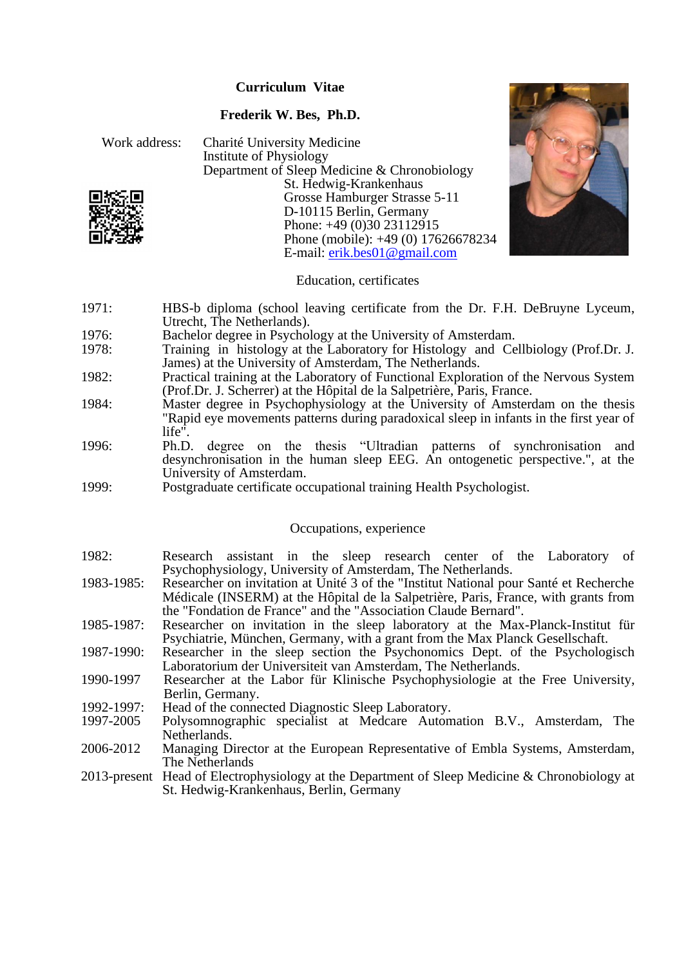## **Curriculum Vitae**

## **Frederik W. Bes, Ph.D.**





## Education, certificates

- 1971: HBS-b diploma (school leaving certificate from the Dr. F.H. DeBruyne Lyceum, Utrecht, The Netherlands).
- 1976: Bachelor degree in Psychology at the University of Amsterdam.<br>1978: Training in histology at the Laboratory for Histology and Ce
- Training in histology at the Laboratory for Histology and Cellbiology (Prof.Dr. J. James) at the University of Amsterdam, The Netherlands.
- 1982: Practical training at the Laboratory of Functional Exploration of the Nervous System (Prof.Dr. J. Scherrer) at the Hôpital de la Salpetrière, Paris, France.
- 1984: Master degree in Psychophysiology at the University of Amsterdam on the thesis "Rapid eye movements patterns during paradoxical sleep in infants in the first year of life".
- 1996: Ph.D. degree on the thesis "Ultradian patterns of synchronisation and desynchronisation in the human sleep EEG. An ontogenetic perspective.", at the University of Amsterdam.
- 1999: Postgraduate certificate occupational training Health Psychologist.

## Occupations, experience

- 1982: Research assistant in the sleep research center of the Laboratory of Psychophysiology, University of Amsterdam, The Netherlands.
- 1983-1985: Researcher on invitation at Unité 3 of the "Institut National pour Santé et Recherche Médicale (INSERM) at the Hôpital de la Salpetrière, Paris, France, with grants from the "Fondation de France" and the "Association Claude Bernard".
- 1985-1987: Researcher on invitation in the sleep laboratory at the Max-Planck-Institut für Psychiatrie, München, Germany, with a grant from the Max Planck Gesellschaft.
- 1987-1990: Researcher in the sleep section the Psychonomics Dept. of the Psychologisch Laboratorium der Universiteit van Amsterdam, The Netherlands.
- 1990-1997 Researcher at the Labor für Klinische Psychophysiologie at the Free University, Berlin, Germany.
- 1992-1997: Head of the connected Diagnostic Sleep Laboratory.
- 1997-2005 Polysomnographic specialist at Medcare Automation B.V., Amsterdam, The Netherlands.
- 2006-2012 Managing Director at the European Representative of Embla Systems, Amsterdam, The Netherlands
- 2013-present Head of Electrophysiology at the Department of Sleep Medicine & Chronobiology at St. Hedwig-Krankenhaus, Berlin, Germany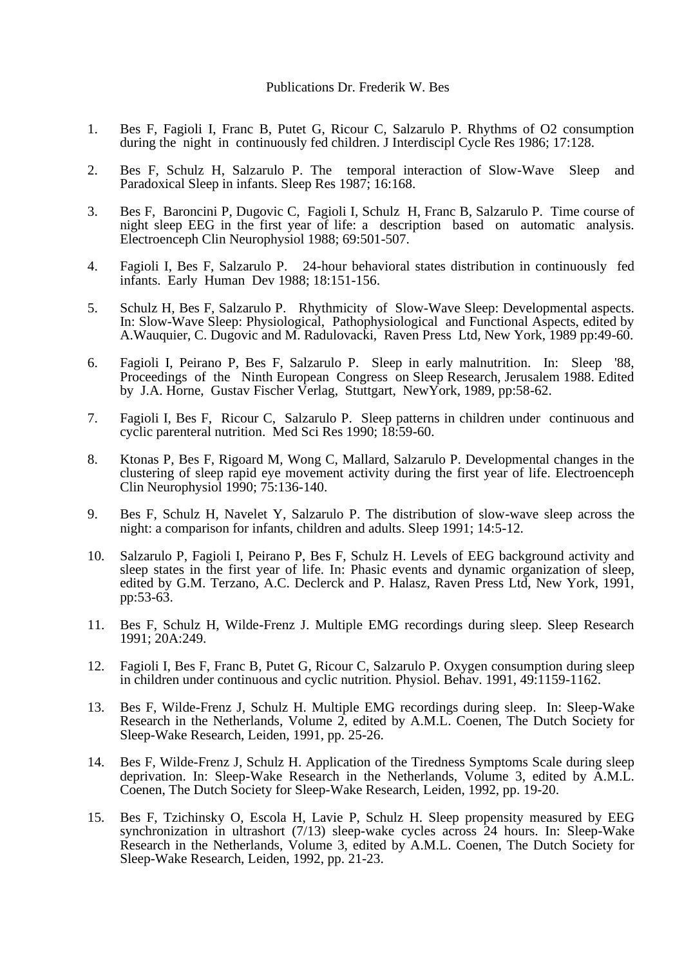- 1. Bes F, Fagioli I, Franc B, Putet G, Ricour C, Salzarulo P. Rhythms of O2 consumption during the night in continuously fed children. J Interdiscipl Cycle Res 1986; 17:128.
- 2. Bes F, Schulz H, Salzarulo P. The temporal interaction of Slow-Wave Sleep and Paradoxical Sleep in infants. Sleep Res 1987; 16:168.
- 3. Bes F, Baroncini P, Dugovic C, Fagioli I, Schulz H, Franc B, Salzarulo P. Time course of night sleep EEG in the first year of life: a description based on automatic analysis. Electroenceph Clin Neurophysiol 1988; 69:501-507.
- 4. Fagioli I, Bes F, Salzarulo P. 24-hour behavioral states distribution in continuously fed infants. Early Human Dev 1988; 18:151-156.
- 5. Schulz H, Bes F, Salzarulo P. Rhythmicity of Slow-Wave Sleep: Developmental aspects. In: Slow-Wave Sleep: Physiological, Pathophysiological and Functional Aspects, edited by A.Wauquier, C. Dugovic and M. Radulovacki, Raven Press Ltd, New York, 1989 pp:49-60.
- 6. Fagioli I, Peirano P, Bes F, Salzarulo P. Sleep in early malnutrition. In: Sleep '88, Proceedings of the Ninth European Congress on Sleep Research, Jerusalem 1988. Edited by J.A. Horne, Gustav Fischer Verlag, Stuttgart, NewYork, 1989, pp:58-62.
- 7. Fagioli I, Bes F, Ricour C, Salzarulo P. Sleep patterns in children under continuous and cyclic parenteral nutrition. Med Sci Res 1990; 18:59-60.
- 8. Ktonas P, Bes F, Rigoard M, Wong C, Mallard, Salzarulo P. Developmental changes in the clustering of sleep rapid eye movement activity during the first year of life. Electroenceph Clin Neurophysiol 1990; 75:136-140.
- 9. Bes F, Schulz H, Navelet Y, Salzarulo P. The distribution of slow-wave sleep across the night: a comparison for infants, children and adults. Sleep 1991; 14:5-12.
- 10. Salzarulo P, Fagioli I, Peirano P, Bes F, Schulz H. Levels of EEG background activity and sleep states in the first year of life. In: Phasic events and dynamic organization of sleep, edited by G.M. Terzano, A.C. Declerck and P. Halasz, Raven Press Ltd, New York, 1991, pp:53-63.
- 11. Bes F, Schulz H, Wilde-Frenz J. Multiple EMG recordings during sleep. Sleep Research 1991; 20A:249.
- 12. Fagioli I, Bes F, Franc B, Putet G, Ricour C, Salzarulo P. Oxygen consumption during sleep in children under continuous and cyclic nutrition. Physiol. Behav. 1991, 49:1159-1162.
- 13. Bes F, Wilde-Frenz J, Schulz H. Multiple EMG recordings during sleep. In: Sleep-Wake Research in the Netherlands, Volume 2, edited by A.M.L. Coenen, The Dutch Society for Sleep-Wake Research, Leiden, 1991, pp. 25-26.
- 14. Bes F, Wilde-Frenz J, Schulz H. Application of the Tiredness Symptoms Scale during sleep deprivation. In: Sleep-Wake Research in the Netherlands, Volume 3, edited by A.M.L. Coenen, The Dutch Society for Sleep-Wake Research, Leiden, 1992, pp. 19-20.
- 15. Bes F, Tzichinsky O, Escola H, Lavie P, Schulz H. Sleep propensity measured by EEG synchronization in ultrashort (7/13) sleep-wake cycles across 24 hours. In: Sleep-Wake Research in the Netherlands, Volume 3, edited by A.M.L. Coenen, The Dutch Society for Sleep-Wake Research, Leiden, 1992, pp. 21-23.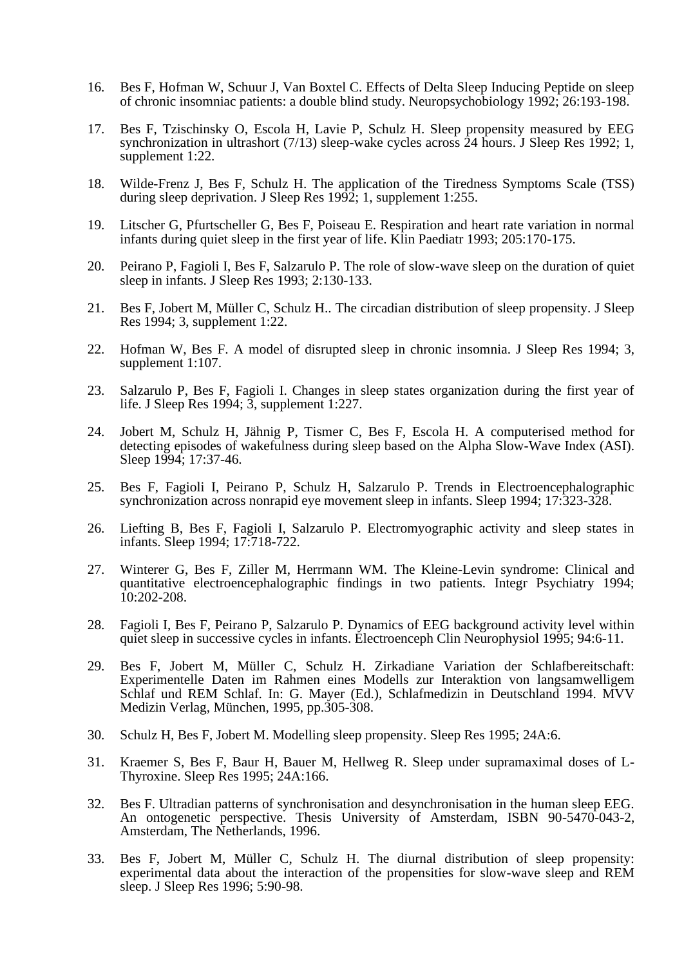- 16. Bes F, Hofman W, Schuur J, Van Boxtel C. Effects of Delta Sleep Inducing Peptide on sleep of chronic insomniac patients: a double blind study. Neuropsychobiology 1992; 26:193-198.
- 17. Bes F, Tzischinsky O, Escola H, Lavie P, Schulz H. Sleep propensity measured by EEG synchronization in ultrashort (7/13) sleep-wake cycles across 24 hours. J Sleep Res 1992; 1, supplement 1:22.
- 18. Wilde-Frenz J, Bes F, Schulz H. The application of the Tiredness Symptoms Scale (TSS) during sleep deprivation. J Sleep Res 1992; 1, supplement 1:255.
- 19. Litscher G, Pfurtscheller G, Bes F, Poiseau E. Respiration and heart rate variation in normal infants during quiet sleep in the first year of life. Klin Paediatr 1993; 205:170-175.
- 20. Peirano P, Fagioli I, Bes F, Salzarulo P. The role of slow-wave sleep on the duration of quiet sleep in infants. J Sleep Res 1993; 2:130-133.
- 21. Bes F, Jobert M, Müller C, Schulz H.. The circadian distribution of sleep propensity. J Sleep Res 1994; 3, supplement 1:22.
- 22. Hofman W, Bes F. A model of disrupted sleep in chronic insomnia. J Sleep Res 1994; 3, supplement 1:107.
- 23. Salzarulo P, Bes F, Fagioli I. Changes in sleep states organization during the first year of life. J Sleep Res 1994; 3, supplement 1:227.
- 24. Jobert M, Schulz H, Jähnig P, Tismer C, Bes F, Escola H. A computerised method for detecting episodes of wakefulness during sleep based on the Alpha Slow-Wave Index (ASI). Sleep 1994; 17:37-46.
- 25. Bes F, Fagioli I, Peirano P, Schulz H, Salzarulo P. Trends in Electroencephalographic synchronization across nonrapid eye movement sleep in infants. Sleep 1994; 17:323-328.
- 26. Liefting B, Bes F, Fagioli I, Salzarulo P. Electromyographic activity and sleep states in infants. Sleep 1994; 17:718-722.
- 27. Winterer G, Bes F, Ziller M, Herrmann WM. The Kleine-Levin syndrome: Clinical and quantitative electroencephalographic findings in two patients. Integr Psychiatry 1994; 10:202-208.
- 28. Fagioli I, Bes F, Peirano P, Salzarulo P. Dynamics of EEG background activity level within quiet sleep in successive cycles in infants. Electroenceph Clin Neurophysiol 1995; 94:6-11.
- 29. Bes F, Jobert M, Müller C, Schulz H. Zirkadiane Variation der Schlafbereitschaft: Experimentelle Daten im Rahmen eines Modells zur Interaktion von langsamwelligem Schlaf und REM Schlaf. In: G. Mayer (Ed.), Schlafmedizin in Deutschland 1994. MVV Medizin Verlag, München, 1995, pp.305-308.
- 30. Schulz H, Bes F, Jobert M. Modelling sleep propensity. Sleep Res 1995; 24A:6.
- 31. Kraemer S, Bes F, Baur H, Bauer M, Hellweg R. Sleep under supramaximal doses of L-Thyroxine. Sleep Res 1995; 24A:166.
- 32. Bes F. Ultradian patterns of synchronisation and desynchronisation in the human sleep EEG. An ontogenetic perspective. Thesis University of Amsterdam, ISBN 90-5470-043-2, Amsterdam, The Netherlands, 1996.
- 33. Bes F, Jobert M, Müller C, Schulz H. The diurnal distribution of sleep propensity: experimental data about the interaction of the propensities for slow-wave sleep and REM sleep. J Sleep Res 1996; 5:90-98.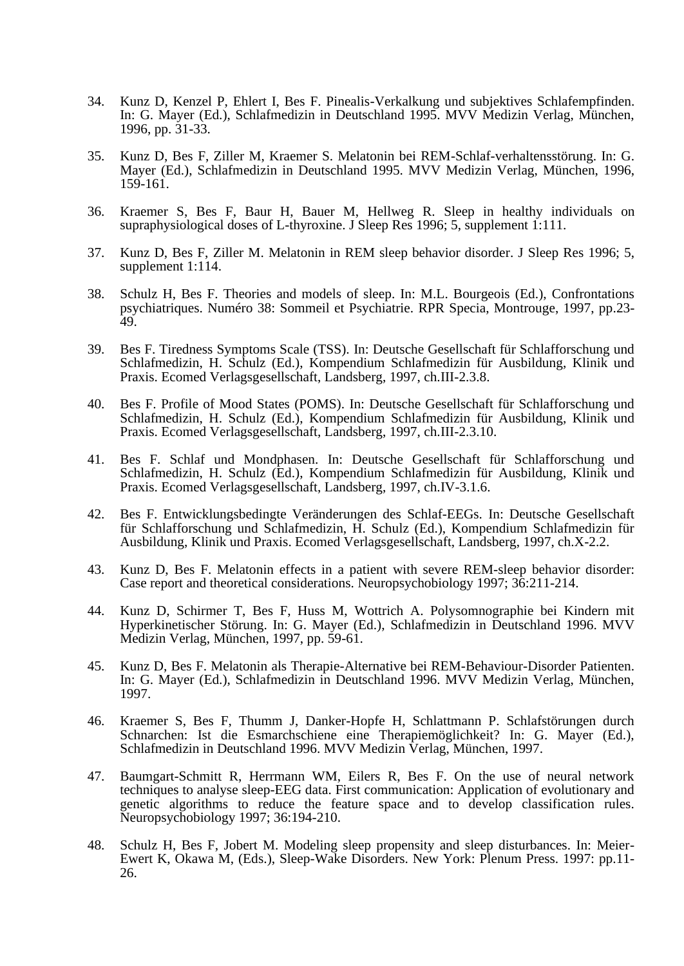- 34. Kunz D, Kenzel P, Ehlert I, Bes F. Pinealis-Verkalkung und subjektives Schlafempfinden. In: G. Mayer (Ed.), Schlafmedizin in Deutschland 1995. MVV Medizin Verlag, München, 1996, pp. 31-33.
- 35. Kunz D, Bes F, Ziller M, Kraemer S. Melatonin bei REM-Schlaf-verhaltensstörung. In: G. Mayer (Ed.), Schlafmedizin in Deutschland 1995. MVV Medizin Verlag, München, 1996, 159-161.
- 36. Kraemer S, Bes F, Baur H, Bauer M, Hellweg R. Sleep in healthy individuals on supraphysiological doses of L-thyroxine. J Sleep Res 1996; 5, supplement 1:111.
- 37. Kunz D, Bes F, Ziller M. Melatonin in REM sleep behavior disorder. J Sleep Res 1996; 5, supplement 1:114.
- 38. Schulz H, Bes F. Theories and models of sleep. In: M.L. Bourgeois (Ed.), Confrontations psychiatriques. Numéro 38: Sommeil et Psychiatrie. RPR Specia, Montrouge, 1997, pp.23- 49.
- 39. Bes F. Tiredness Symptoms Scale (TSS). In: Deutsche Gesellschaft für Schlafforschung und Schlafmedizin, H. Schulz (Ed.), Kompendium Schlafmedizin für Ausbildung, Klinik und Praxis. Ecomed Verlagsgesellschaft, Landsberg, 1997, ch.III-2.3.8.
- 40. Bes F. Profile of Mood States (POMS). In: Deutsche Gesellschaft für Schlafforschung und Schlafmedizin, H. Schulz (Ed.), Kompendium Schlafmedizin für Ausbildung, Klinik und Praxis. Ecomed Verlagsgesellschaft, Landsberg, 1997, ch.III-2.3.10.
- 41. Bes F. Schlaf und Mondphasen. In: Deutsche Gesellschaft für Schlafforschung und Schlafmedizin, H. Schulz (Ed.), Kompendium Schlafmedizin für Ausbildung, Klinik und Praxis. Ecomed Verlagsgesellschaft, Landsberg, 1997, ch.IV-3.1.6.
- 42. Bes F. Entwicklungsbedingte Veränderungen des Schlaf-EEGs. In: Deutsche Gesellschaft für Schlafforschung und Schlafmedizin, H. Schulz (Ed.), Kompendium Schlafmedizin für Ausbildung, Klinik und Praxis. Ecomed Verlagsgesellschaft, Landsberg, 1997, ch.X-2.2.
- 43. Kunz D, Bes F. Melatonin effects in a patient with severe REM-sleep behavior disorder: Case report and theoretical considerations. Neuropsychobiology 1997; 36:211-214.
- 44. Kunz D, Schirmer T, Bes F, Huss M, Wottrich A. Polysomnographie bei Kindern mit Hyperkinetischer Störung. In: G. Mayer (Ed.), Schlafmedizin in Deutschland 1996. MVV Medizin Verlag, München, 1997, pp. 59-61.
- 45. Kunz D, Bes F. Melatonin als Therapie-Alternative bei REM-Behaviour-Disorder Patienten. In: G. Mayer (Ed.), Schlafmedizin in Deutschland 1996. MVV Medizin Verlag, München, 1997.
- 46. Kraemer S, Bes F, Thumm J, Danker-Hopfe H, Schlattmann P. Schlafstörungen durch Schnarchen: Ist die Esmarchschiene eine Therapiemöglichkeit? In: G. Mayer (Ed.), Schlafmedizin in Deutschland 1996. MVV Medizin Verlag, München, 1997.
- 47. Baumgart-Schmitt R, Herrmann WM, Eilers R, Bes F. On the use of neural network techniques to analyse sleep-EEG data. First communication: Application of evolutionary and genetic algorithms to reduce the feature space and to develop classification rules. Neuropsychobiology 1997; 36:194-210.
- 48. Schulz H, Bes F, Jobert M. Modeling sleep propensity and sleep disturbances. In: Meier-Ewert K, Okawa M, (Eds.), Sleep-Wake Disorders. New York: Plenum Press. 1997: pp.11- 26.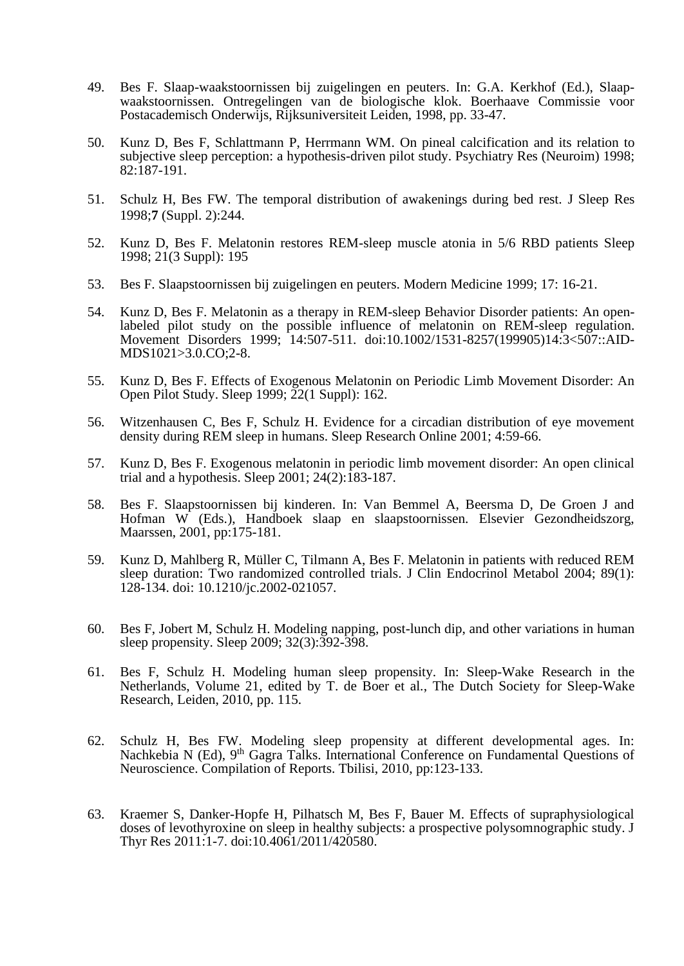- 49. Bes F. Slaap-waakstoornissen bij zuigelingen en peuters. In: G.A. Kerkhof (Ed.), Slaapwaakstoornissen. Ontregelingen van de biologische klok. Boerhaave Commissie voor Postacademisch Onderwijs, Rijksuniversiteit Leiden, 1998, pp. 33-47.
- 50. Kunz D, Bes F, Schlattmann P, Herrmann WM. On pineal calcification and its relation to subjective sleep perception: a hypothesis-driven pilot study. Psychiatry Res (Neuroim) 1998; 82:187-191.
- 51. Schulz H, Bes FW. The temporal distribution of awakenings during bed rest. J Sleep Res 1998;**7** (Suppl. 2):244.
- 52. Kunz D, Bes F. Melatonin restores REM-sleep muscle atonia in 5/6 RBD patients Sleep 1998; 21(3 Suppl): 195
- 53. Bes F. Slaapstoornissen bij zuigelingen en peuters. Modern Medicine 1999; 17: 16-21.
- 54. Kunz D, Bes F. Melatonin as a therapy in REM-sleep Behavior Disorder patients: An openlabeled pilot study on the possible influence of melatonin on REM-sleep regulation. Movement Disorders 1999; 14:507-511. doi:10.1002/1531-8257(199905)14:3<507::AID-MDS1021>3.0.CO;2-8.
- 55. Kunz D, Bes F. Effects of Exogenous Melatonin on Periodic Limb Movement Disorder: An Open Pilot Study. Sleep 1999; 22(1 Suppl): 162.
- 56. Witzenhausen C, Bes F, Schulz H. Evidence for a circadian distribution of eye movement density during REM sleep in humans. Sleep Research Online 2001; 4:59-66.
- 57. Kunz D, Bes F. Exogenous melatonin in periodic limb movement disorder: An open clinical trial and a hypothesis. Sleep 2001;  $24(2)$ : 183-187.
- 58. Bes F. Slaapstoornissen bij kinderen. In: Van Bemmel A, Beersma D, De Groen J and Hofman W (Eds.), Handboek slaap en slaapstoornissen. Elsevier Gezondheidszorg, Maarssen, 2001, pp:175-181.
- 59. Kunz D, Mahlberg R, Müller C, Tilmann A, Bes F. Melatonin in patients with reduced REM sleep duration: Two randomized controlled trials. J Clin Endocrinol Metabol 2004; 89(1): 128-134. doi: 10.1210/jc.2002-021057.
- 60. Bes F, Jobert M, Schulz H. Modeling napping, post-lunch dip, and other variations in human sleep propensity. Sleep 2009; 32(3):392-398.
- 61. Bes F, Schulz H. Modeling human sleep propensity. In: Sleep-Wake Research in the Netherlands, Volume 21, edited by T. de Boer et al., The Dutch Society for Sleep-Wake Research, Leiden, 2010, pp. 115.
- 62. Schulz H, Bes FW. Modeling sleep propensity at different developmental ages. In: Nachkebia N (Ed), 9<sup>th</sup> Gagra Talks. International Conference on Fundamental Questions of Neuroscience. Compilation of Reports. Tbilisi, 2010, pp:123-133.
- 63. Kraemer S, Danker-Hopfe H, Pilhatsch M, Bes F, Bauer M. Effects of supraphysiological doses of levothyroxine on sleep in healthy subjects: a prospective polysomnographic study. J Thyr Res 2011:1-7. doi:10.4061/2011/420580.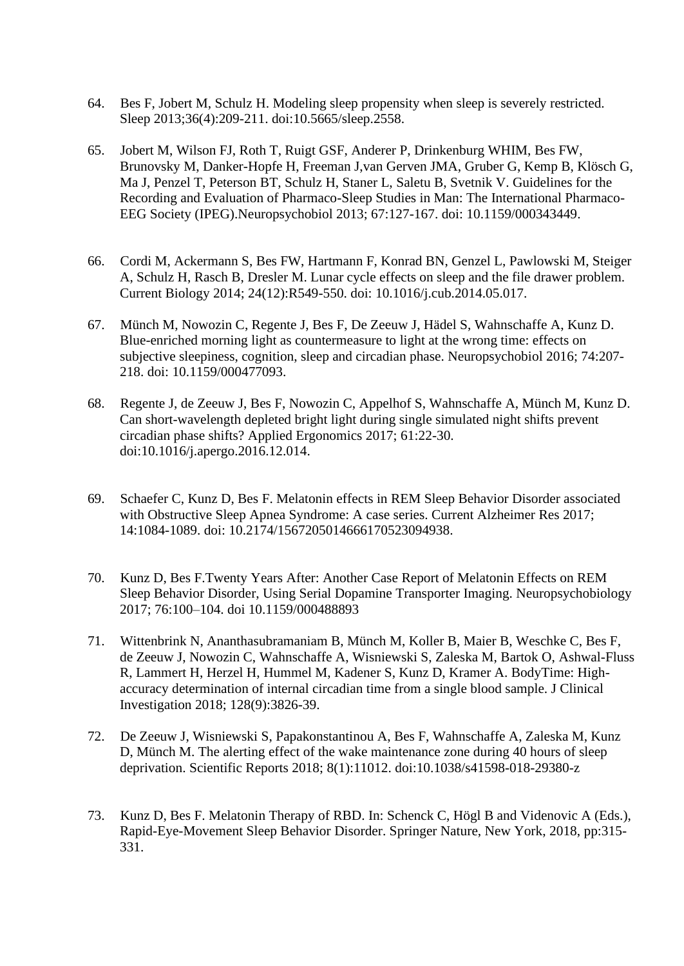- 64. Bes F, Jobert M, Schulz H. Modeling sleep propensity when sleep is severely restricted. Sleep 2013;36(4):209-211. doi:10.5665/sleep.2558.
- 65. Jobert M, Wilson FJ, Roth T, Ruigt GSF, Anderer P, Drinkenburg WHIM, Bes FW, Brunovsky M, Danker-Hopfe H, Freeman J,van Gerven JMA, Gruber G, Kemp B, Klösch G, Ma J, Penzel T, Peterson BT, Schulz H, Staner L, Saletu B, Svetnik V. Guidelines for the Recording and Evaluation of Pharmaco-Sleep Studies in Man: The International Pharmaco-EEG Society (IPEG).Neuropsychobiol 2013; 67:127-167. doi: 10.1159/000343449.
- 66. Cordi M, Ackermann S, Bes FW, Hartmann F, Konrad BN, Genzel L, Pawlowski M, Steiger A, Schulz H, Rasch B, Dresler M. Lunar cycle effects on sleep and the file drawer problem. Current Biology 2014; 24(12):R549-550. doi: 10.1016/j.cub.2014.05.017.
- 67. Münch M, Nowozin C, Regente J, Bes F, De Zeeuw J, Hädel S, Wahnschaffe A, Kunz D. Blue-enriched morning light as countermeasure to light at the wrong time: effects on subjective sleepiness, cognition, sleep and circadian phase. Neuropsychobiol 2016; 74:207- 218. doi: 10.1159/000477093.
- 68. Regente J, de Zeeuw J, Bes F, Nowozin C, Appelhof S, Wahnschaffe A, Münch M, Kunz D. Can short-wavelength depleted bright light during single simulated night shifts prevent circadian phase shifts? Applied Ergonomics 2017; 61:22-30. doi:10.1016/j.apergo.2016.12.014.
- 69. Schaefer C, Kunz D, Bes F. Melatonin effects in REM Sleep Behavior Disorder associated with Obstructive Sleep Apnea Syndrome: A case series. Current Alzheimer Res 2017; 14:1084-1089. doi: 10.2174/1567205014666170523094938.
- 70. Kunz D, Bes F.Twenty Years After: Another Case Report of Melatonin Effects on REM Sleep Behavior Disorder, Using Serial Dopamine Transporter Imaging. Neuropsychobiology 2017; 76:100–104. doi 10.1159/000488893
- 71. Wittenbrink N, Ananthasubramaniam B, Münch M, Koller B, Maier B, Weschke C, Bes F, de Zeeuw J, Nowozin C, Wahnschaffe A, Wisniewski S, Zaleska M, Bartok O, Ashwal-Fluss R, Lammert H, Herzel H, Hummel M, Kadener S, Kunz D, Kramer A. BodyTime: Highaccuracy determination of internal circadian time from a single blood sample. J Clinical Investigation 2018; 128(9):3826-39.
- 72. De Zeeuw J, Wisniewski S, Papakonstantinou A, Bes F, Wahnschaffe A, Zaleska M, Kunz D, Münch M. The alerting effect of the wake maintenance zone during 40 hours of sleep deprivation. Scientific Reports 2018; 8(1):11012. doi:10.1038/s41598-018-29380-z
- 73. Kunz D, Bes F. Melatonin Therapy of RBD. In: Schenck C, Högl B and Videnovic A (Eds.), Rapid-Eye-Movement Sleep Behavior Disorder. Springer Nature, New York, 2018, pp:315- 331.